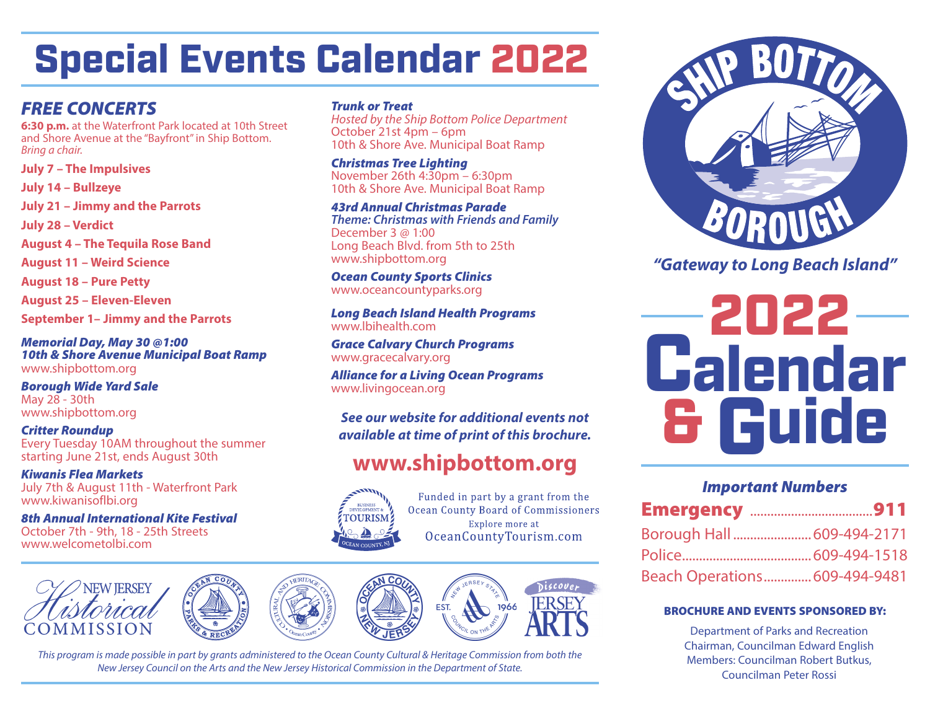# Special Events Calendar 2022

### *FREE CONCERTS*

**6:30 p.m.** at the Waterfront Park located at 10th Street and Shore Avenue at the "Bayfront" in Ship Bottom. *Bring a chair.*

**July 7 – The Impulsives July 14 – Bullzeye**

**July 21 – Jimmy and the Parrots**

**July 28 – Verdict**

**August 4 – The Tequila Rose Band**

**August 11 – Weird Science**

**August 18 – Pure Petty**

**August 25 – Eleven-Eleven**

**September 1– Jimmy and the Parrots**

*Memorial Day, May 30 @1:00 10th & Shore Avenue Municipal Boat Ramp* www.shipbottom.org

*Borough Wide Yard Sale* May 28 - 30th www.shipbottom.org

*Critter Roundup* Every Tuesday 10AM throughout the summer starting June 21st, ends August 30th

*Kiwanis Flea Markets* July 7th & August 11th - Waterfront Park www.kiwanisoflbi.org

*8th Annual International Kite Festival* October 7th - 9th, 18 - 25th Streets www.welcometolbi.com

#### *Trunk or Treat*

*Hosted by the Ship Bottom Police Department* October 21st 4pm – 6pm 10th & Shore Ave. Municipal Boat Ramp

*Christmas Tree Lighting* November 26th 4:30pm – 6:30pm 10th & Shore Ave. Municipal Boat Ramp

*43rd Annual Christmas Parade Theme: Christmas with Friends and Family* December 3 @ 1:00 Long Beach Blvd. from 5th to 25th www.shipbottom.org

*Ocean County Sports Clinics* www.oceancountyparks.org

*Long Beach Island Health Programs* www.lbihealth.com

*Grace Calvary Church Programs* www.gracecalvary.org

*Alliance for a Living Ocean Programs* www.livingocean.org

*available at time of print of this brochure.*

## **www.shipbottom.org**



Funded in part by a grant from the Ocean County Board of Commissioners Explore more at OceanCountyTourism.com



*This program is made possible in part by grants administered to the Ocean County Cultural & Heritage Commission from both the New Jersey Council on the Arts and the New Jersey Historical Commission in the Department of State.*



*"Gateway to Long Beach Island"*



#### *Important Numbers*

| Borough Hall  609-494-2171    |  |
|-------------------------------|--|
|                               |  |
| Beach Operations 609-494-9481 |  |

#### BROCHURE AND EVENTS SPONSORED BY:

Department of Parks and Recreation Chairman, Councilman Edward English Members: Councilman Robert Butkus, Councilman Peter Rossi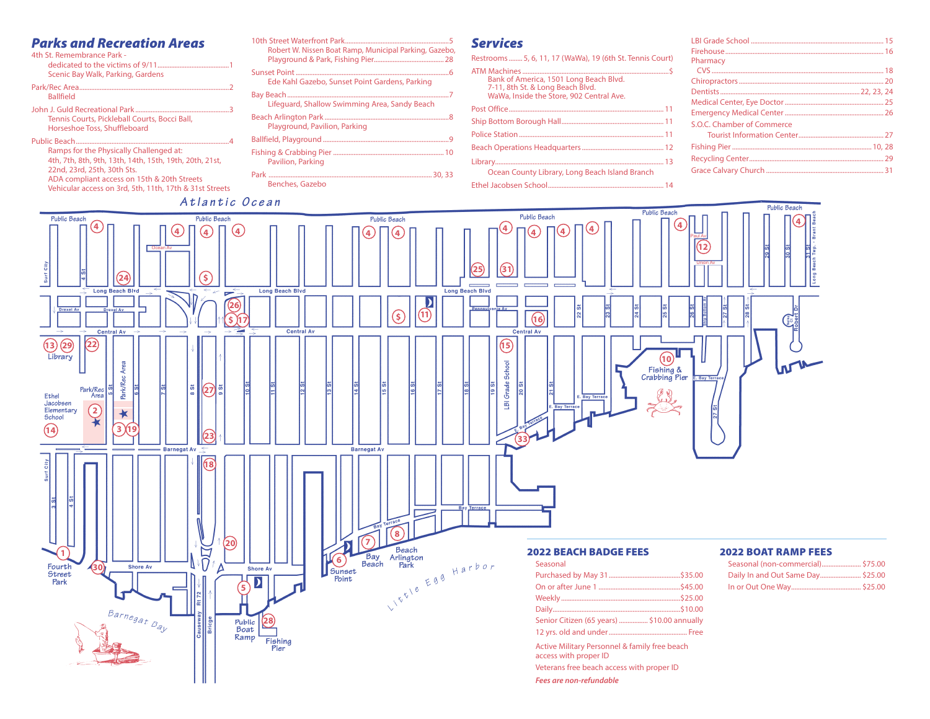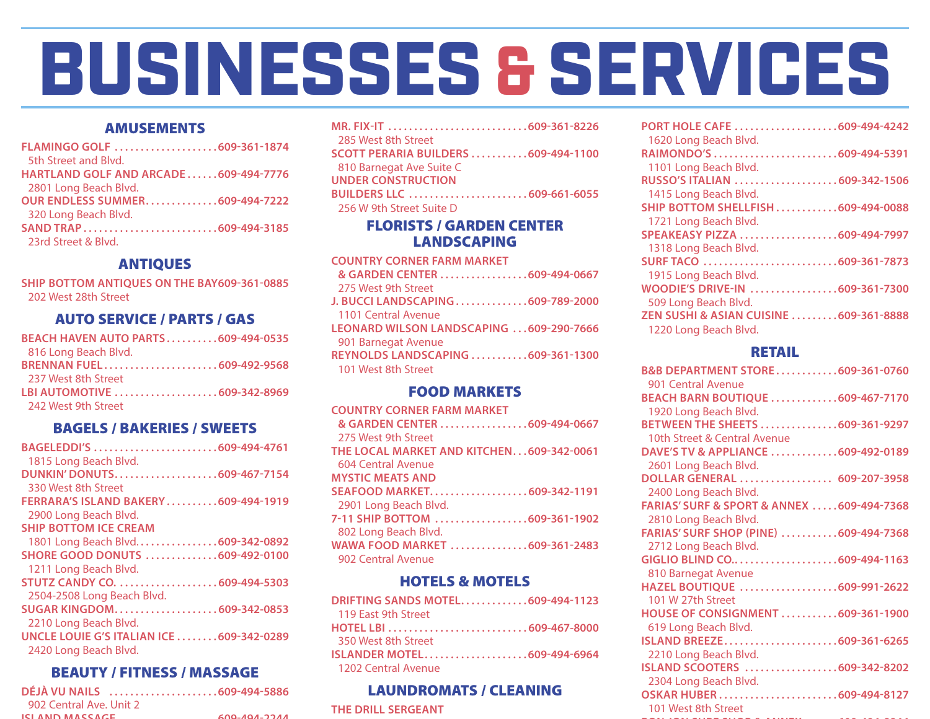# BUSINESSES & SERVICES

#### AMUSEMENTS

**FLAMINGO GOLF . . . . . . . . . . . . . . . . . . . . 609-361-1874** 5th Street and Blvd. **HARTLAND GOLF AND ARCADE . . . . . . 609-494-7776** 2801 Long Beach Blvd. **OUR ENDLESS SUMMER . . . . . . . . . . . . . . 609-494-7222** 320 Long Beach Blvd. **SAND TRAP . . . . . . . . . . . . . . . . . . . . . . . . . . 609-494-3185** 23rd Street & Blvd.

#### ANTIQUES

**SHIP BOTTOM ANTIQUES ON THE BAY609-361-0885** 202 West 28th Street

#### AUTO SERVICE / PARTS / GAS

| <b>BEACH HAVEN AUTO PARTS609-494-0535</b> |  |
|-------------------------------------------|--|
| 816 Long Beach Blvd.                      |  |
| BRENNAN FUEL609-492-9568                  |  |
| 237 West 8th Street                       |  |
| LBI AUTOMOTIVE 609-342-8969               |  |
| 242 West 9th Street                       |  |

#### BAGELS / BAKERIES / SWEETS

| BAGELEDDI'S 609-494-4761                   |
|--------------------------------------------|
| 1815 Long Beach Blvd.                      |
| DUNKIN' DONUTS609-467-7154                 |
| 330 West 8th Street                        |
| <b>FERRARA'S ISLAND BAKERY609-494-1919</b> |
| 2900 Long Beach Blvd.                      |
| <b>SHIP BOTTOM ICE CREAM</b>               |
| 1801 Long Beach Blvd609-342-0892           |
| SHORE GOOD DONUTS 609-492-0100             |
| 1211 Long Beach Blvd.                      |
|                                            |
| 2504-2508 Long Beach Blvd.                 |
| SUGAR KINGDOM609-342-0853                  |
| 2210 Long Beach Blvd.                      |
| UNCLE LOUIE G'S ITALIAN ICE 609-342-0289   |
| 2420 Long Beach Blvd.                      |
|                                            |

#### BEAUTY / FITNESS / MASSAGE

|                         | DÉJÀ VU NAILS 609-494-5886 |
|-------------------------|----------------------------|
| 902 Central Ave. Unit 2 |                            |
| ICI AND MACCACE         | 600.001324                 |
|                         |                            |

| 285 West 8th Street                 |  |
|-------------------------------------|--|
| SCOTT PERARIA BUILDERS 609-494-1100 |  |
| 810 Barnegat Ave Suite C            |  |
| <b>UNDER CONSTRUCTION</b>           |  |
| BUILDERS LLC 609-661-6055           |  |
| 256 W 9th Street Suite D            |  |
| <b>FLORISTS / GARDEN CENTER</b>     |  |

# LANDSCAPING

| <b>COUNTRY CORNER FARM MARKET</b>        |  |
|------------------------------------------|--|
| & GARDEN CENTER 609-494-0667             |  |
| 275 West 9th Street                      |  |
| J. BUCCI LANDSCAPING 609-789-2000        |  |
| 1101 Central Avenue                      |  |
| LEONARD WILSON LANDSCAPING 609-290-7666  |  |
| 901 Barnegat Avenue                      |  |
| <b>REYNOLDS LANDSCAPING 609-361-1300</b> |  |
| 101 West 8th Street                      |  |
|                                          |  |

#### FOOD MARKETS

| <b>COUNTRY CORNER FARM MARKET</b>        |  |
|------------------------------------------|--|
| & GARDEN CENTER 609-494-0667             |  |
| 275 West 9th Street                      |  |
| THE LOCAL MARKET AND KITCHEN609-342-0061 |  |
| 604 Central Avenue                       |  |
| <b>MYSTIC MEATS AND</b>                  |  |
| SEAFOOD MARKET609-342-1191               |  |
| 2901 Long Beach Blvd.                    |  |
| 7-11 SHIP BOTTOM 609-361-1902            |  |
| 802 Long Beach Blvd.                     |  |
| WAWA FOOD MARKET 609-361-2483            |  |
| 902 Central Avenue                       |  |
|                                          |  |

#### HOTELS & MOTELS

| DRIFTING SANDS MOTEL609-494-1123 |  |
|----------------------------------|--|
| 119 East 9th Street              |  |
|                                  |  |
| 350 West 8th Street              |  |
| ISLANDER MOTEL609-494-6964       |  |
| - 1202 Central Avenue            |  |
|                                  |  |

#### LAUNDROMATS / CLEANING

#### **THE DRILL SERGEANT**

| PORT HOLE CAFE 609-494-4242<br>1620 Long Beach Blvd. |  |
|------------------------------------------------------|--|
| RAIMONDO'S 609-494-5391                              |  |
| 1101 Long Beach Blvd.                                |  |
| RUSSO'S ITALIAN 609-342-1506                         |  |
| 1415 Long Beach Blvd.                                |  |
| SHIP BOTTOM SHELLFISH609-494-0088                    |  |
| 1721 Long Beach Blvd.                                |  |
| SPEAKEASY PIZZA 609-494-7997                         |  |
| 1318 Long Beach Blvd.                                |  |
|                                                      |  |
| 1915 Long Beach Blvd.                                |  |
| WOODIE'S DRIVE-IN 609-361-7300                       |  |
| 509 Long Beach Blvd.                                 |  |
| ZEN SUSHI & ASIAN CUISINE 609-361-8888               |  |
| 1220 Long Beach Blvd.                                |  |
|                                                      |  |

#### RETAIL

| B&B DEPARTMENT STORE609-361-0760          |  |
|-------------------------------------------|--|
| 901 Central Avenue                        |  |
| <b>BEACH BARN BOUTIQUE 609-467-7170</b>   |  |
| 1920 Long Beach Blvd.                     |  |
| BETWEEN THE SHEETS 609-361-9297           |  |
| 10th Street & Central Avenue              |  |
| DAVE'S TV & APPLIANCE 609-492-0189        |  |
| 2601 Long Beach Blvd.                     |  |
| DOLLAR GENERAL  609-207-3958              |  |
| 2400 Long Beach Blvd.                     |  |
| FARIAS' SURF & SPORT & ANNEX 609-494-7368 |  |
| 2810 Long Beach Blvd.                     |  |
| FARIAS' SURF SHOP (PINE) 609-494-7368     |  |
| 2712 Long Beach Blvd.                     |  |
| GIGLIO BLIND CO609-494-1163               |  |
| 810 Barnegat Avenue                       |  |
| HAZEL BOUTIQUE 609-991-2622               |  |
| 101 W 27th Street                         |  |
| HOUSE OF CONSIGNMENT 609-361-1900         |  |
| 619 Long Beach Blvd.                      |  |
| ISLAND BREEZE609-361-6265                 |  |
| 2210 Long Beach Blvd.                     |  |
| ISLAND SCOOTERS 609-342-8202              |  |
| 2304 Long Beach Blvd.                     |  |
|                                           |  |
| 101 West 8th Street                       |  |
|                                           |  |